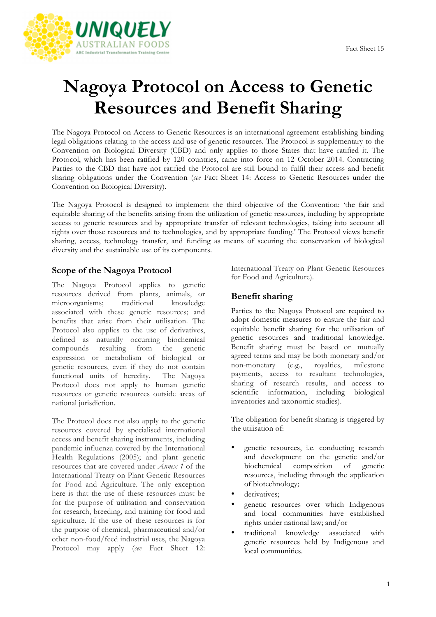

# **Nagoya Protocol on Access to Genetic Resources and Benefit Sharing**

The Nagoya Protocol on Access to Genetic Resources is an international agreement establishing binding legal obligations relating to the access and use of genetic resources. The Protocol is supplementary to the Convention on Biological Diversity (CBD) and only applies to those States that have ratified it. The Protocol, which has been ratified by 120 countries, came into force on 12 October 2014. Contracting Parties to the CBD that have not ratified the Protocol are still bound to fulfil their access and benefit sharing obligations under the Convention (*see* Fact Sheet 14: Access to Genetic Resources under the Convention on Biological Diversity).

The Nagoya Protocol is designed to implement the third objective of the Convention: 'the fair and equitable sharing of the benefits arising from the utilization of genetic resources, including by appropriate access to genetic resources and by appropriate transfer of relevant technologies, taking into account all rights over those resources and to technologies, and by appropriate funding.' The Protocol views benefit sharing, access, technology transfer, and funding as means of securing the conservation of biological diversity and the sustainable use of its components.

#### **Scope of the Nagoya Protocol**

The Nagoya Protocol applies to genetic resources derived from plants, animals, or microorganisms; traditional knowledge associated with these genetic resources; and benefits that arise from their utilisation. The Protocol also applies to the use of derivatives, defined as naturally occurring biochemical compounds resulting from the genetic expression or metabolism of biological or genetic resources, even if they do not contain functional units of heredity. The Nagoya Protocol does not apply to human genetic resources or genetic resources outside areas of national jurisdiction.

The Protocol does not also apply to the genetic resources covered by specialised international access and benefit sharing instruments, including pandemic influenza covered by the International Health Regulations (2005); and plant genetic resources that are covered under *Annex 1* of the International Treaty on Plant Genetic Resources for Food and Agriculture. The only exception here is that the use of these resources must be for the purpose of utilisation and conservation for research, breeding, and training for food and agriculture. If the use of these resources is for the purpose of chemical, pharmaceutical and/or other non-food/feed industrial uses, the Nagoya Protocol may apply (*see* Fact Sheet 12: International Treaty on Plant Genetic Resources for Food and Agriculture).

#### **Benefit sharing**

Parties to the Nagoya Protocol are required to adopt domestic measures to ensure the fair and equitable benefit sharing for the utilisation of genetic resources and traditional knowledge. Benefit sharing must be based on mutually agreed terms and may be both monetary and/or non-monetary (e.g., royalties, milestone payments, access to resultant technologies, sharing of research results, and access to scientific information, including biological inventories and taxonomic studies).

The obligation for benefit sharing is triggered by the utilisation of:

- genetic resources, i.e. conducting research and development on the genetic and/or biochemical composition of genetic resources, including through the application of biotechnology;
- derivatives:
- genetic resources over which Indigenous and local communities have established rights under national law; and/or
- traditional knowledge associated with genetic resources held by Indigenous and local communities.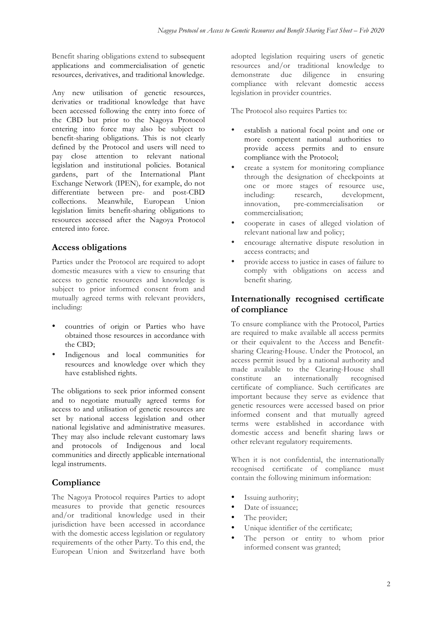Benefit sharing obligations extend to subsequent applications and commercialisation of genetic resources, derivatives, and traditional knowledge.

Any new utilisation of genetic resources, derivaties or traditional knowledge that have been accessed following the entry into force of the CBD but prior to the Nagoya Protocol entering into force may also be subject to benefit-sharing obligations. This is not clearly defined by the Protocol and users will need to pay close attention to relevant national legislation and institutional policies. Botanical gardens, part of the International Plant Exchange Network (IPEN), for example, do not differentiate between pre- and post-CBD collections. Meanwhile, European Union legislation limits benefit-sharing obligations to resources accessed after the Nagoya Protocol entered into force.

### **Access obligations**

Parties under the Protocol are required to adopt domestic measures with a view to ensuring that access to genetic resources and knowledge is subject to prior informed consent from and mutually agreed terms with relevant providers, including:

- countries of origin or Parties who have obtained those resources in accordance with the CBD;
- Indigenous and local communities for resources and knowledge over which they have established rights.

The obligations to seek prior informed consent and to negotiate mutually agreed terms for access to and utilisation of genetic resources are set by national access legislation and other national legislative and administrative measures. They may also include relevant customary laws and protocols of Indigenous and local communities and directly applicable international legal instruments.

## **Compliance**

The Nagoya Protocol requires Parties to adopt measures to provide that genetic resources and/or traditional knowledge used in their jurisdiction have been accessed in accordance with the domestic access legislation or regulatory requirements of the other Party. To this end, the European Union and Switzerland have both

adopted legislation requiring users of genetic resources and/or traditional knowledge to demonstrate due diligence in ensuring compliance with relevant domestic access legislation in provider countries.

The Protocol also requires Parties to:

- establish a national focal point and one or more competent national authorities to provide access permits and to ensure compliance with the Protocol;
- create a system for monitoring compliance through the designation of checkpoints at one or more stages of resource use, including: research, development, innovation, pre-commercialisation or commercialisation;
- cooperate in cases of alleged violation of relevant national law and policy;
- encourage alternative dispute resolution in access contracts; and
- provide access to justice in cases of failure to comply with obligations on access and benefit sharing.

#### **Internationally recognised certificate of compliance**

To ensure compliance with the Protocol, Parties are required to make available all access permits or their equivalent to the Access and Benefitsharing Clearing-House. Under the Protocol, an access permit issued by a national authority and made available to the Clearing-House shall constitute an internationally recognised certificate of compliance. Such certificates are important because they serve as evidence that genetic resources were accessed based on prior informed consent and that mutually agreed terms were established in accordance with domestic access and benefit sharing laws or other relevant regulatory requirements.

When it is not confidential, the internationally recognised certificate of compliance must contain the following minimum information:

- Issuing authority;
- Date of issuance:
- The provider;
- Unique identifier of the certificate;
- The person or entity to whom prior informed consent was granted;